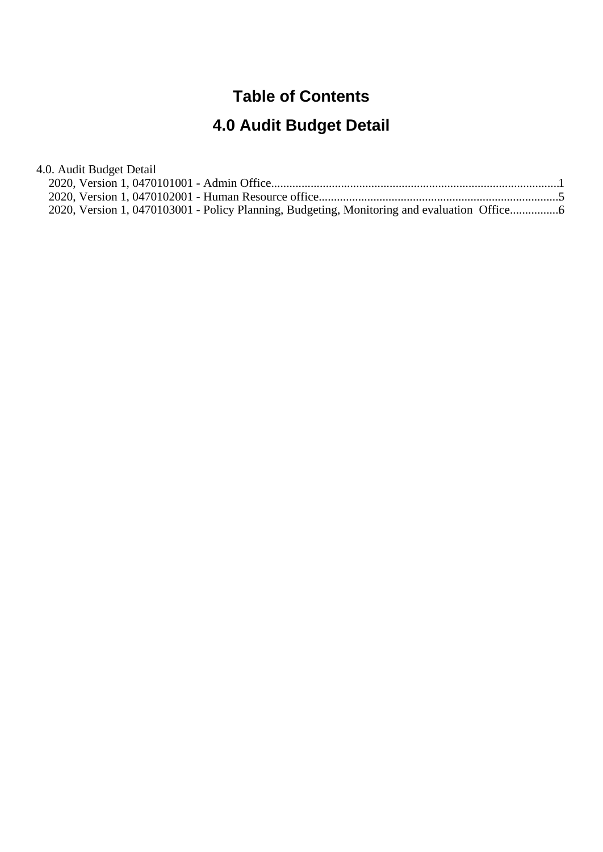#### **Table of Contents**

# **4.0 Audit Budget Detail**

| 4.0. Audit Budget Detail                                                                   |  |
|--------------------------------------------------------------------------------------------|--|
|                                                                                            |  |
|                                                                                            |  |
| 2020, Version 1, 0470103001 - Policy Planning, Budgeting, Monitoring and evaluation Office |  |
|                                                                                            |  |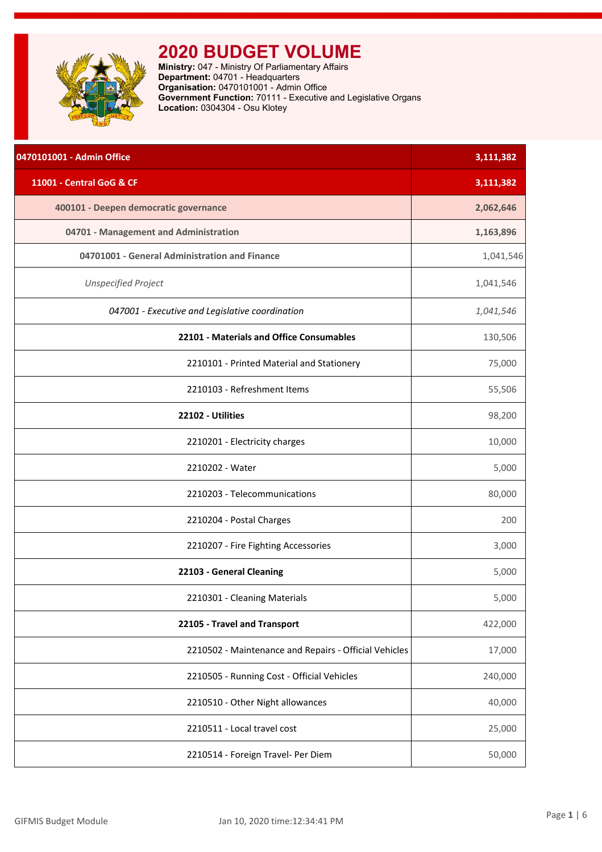<span id="page-1-0"></span>

| 0470101001 - Admin Office                             | 3,111,382 |
|-------------------------------------------------------|-----------|
| 11001 - Central GoG & CF                              | 3,111,382 |
| 400101 - Deepen democratic governance                 | 2,062,646 |
| 04701 - Management and Administration                 | 1,163,896 |
| 04701001 - General Administration and Finance         | 1,041,546 |
| <b>Unspecified Project</b>                            | 1,041,546 |
| 047001 - Executive and Legislative coordination       | 1,041,546 |
| 22101 - Materials and Office Consumables              | 130,506   |
| 2210101 - Printed Material and Stationery             | 75,000    |
| 2210103 - Refreshment Items                           | 55,506    |
| 22102 - Utilities                                     | 98,200    |
| 2210201 - Electricity charges                         | 10,000    |
| 2210202 - Water                                       | 5,000     |
| 2210203 - Telecommunications                          | 80,000    |
| 2210204 - Postal Charges                              | 200       |
| 2210207 - Fire Fighting Accessories                   | 3,000     |
| 22103 - General Cleaning                              | 5,000     |
| 2210301 - Cleaning Materials                          | 5,000     |
| 22105 - Travel and Transport                          | 422,000   |
| 2210502 - Maintenance and Repairs - Official Vehicles | 17,000    |
| 2210505 - Running Cost - Official Vehicles            | 240,000   |
| 2210510 - Other Night allowances                      | 40,000    |
| 2210511 - Local travel cost                           | 25,000    |
| 2210514 - Foreign Travel- Per Diem                    | 50,000    |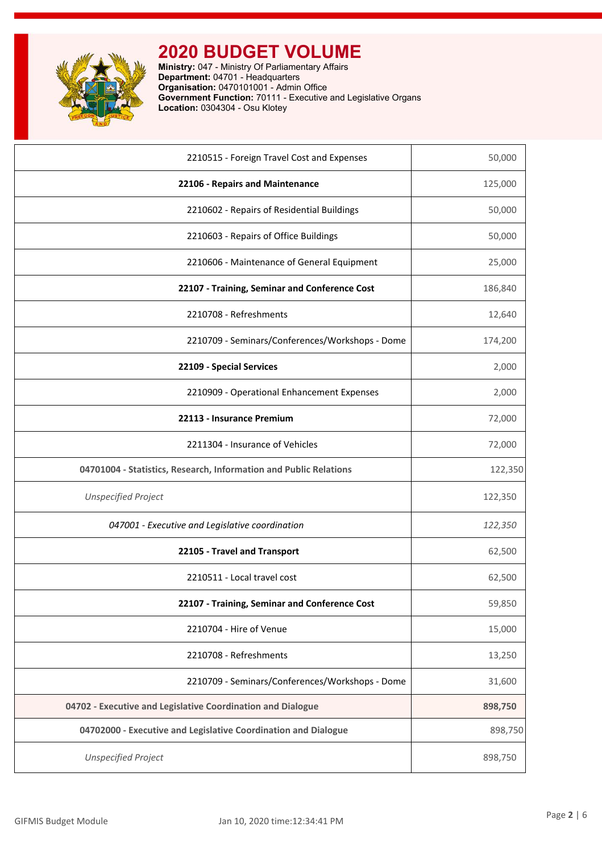

| 2210515 - Foreign Travel Cost and Expenses                        | 50,000  |
|-------------------------------------------------------------------|---------|
| 22106 - Repairs and Maintenance                                   | 125,000 |
| 2210602 - Repairs of Residential Buildings                        | 50,000  |
| 2210603 - Repairs of Office Buildings                             | 50,000  |
| 2210606 - Maintenance of General Equipment                        | 25,000  |
| 22107 - Training, Seminar and Conference Cost                     | 186,840 |
| 2210708 - Refreshments                                            | 12,640  |
| 2210709 - Seminars/Conferences/Workshops - Dome                   | 174,200 |
| 22109 - Special Services                                          | 2,000   |
| 2210909 - Operational Enhancement Expenses                        | 2,000   |
| 22113 - Insurance Premium                                         | 72,000  |
| 2211304 - Insurance of Vehicles                                   | 72,000  |
| 04701004 - Statistics, Research, Information and Public Relations | 122,350 |
| <b>Unspecified Project</b>                                        | 122,350 |
| 047001 - Executive and Legislative coordination                   | 122,350 |
| 22105 - Travel and Transport                                      | 62,500  |
| 2210511 - Local travel cost                                       | 62,500  |
| 22107 - Training, Seminar and Conference Cost                     | 59,850  |
| 2210704 - Hire of Venue                                           | 15,000  |
| 2210708 - Refreshments                                            | 13,250  |
| 2210709 - Seminars/Conferences/Workshops - Dome                   | 31,600  |
| 04702 - Executive and Legislative Coordination and Dialogue       | 898,750 |
| 04702000 - Executive and Legislative Coordination and Dialogue    | 898,750 |
| <b>Unspecified Project</b>                                        | 898,750 |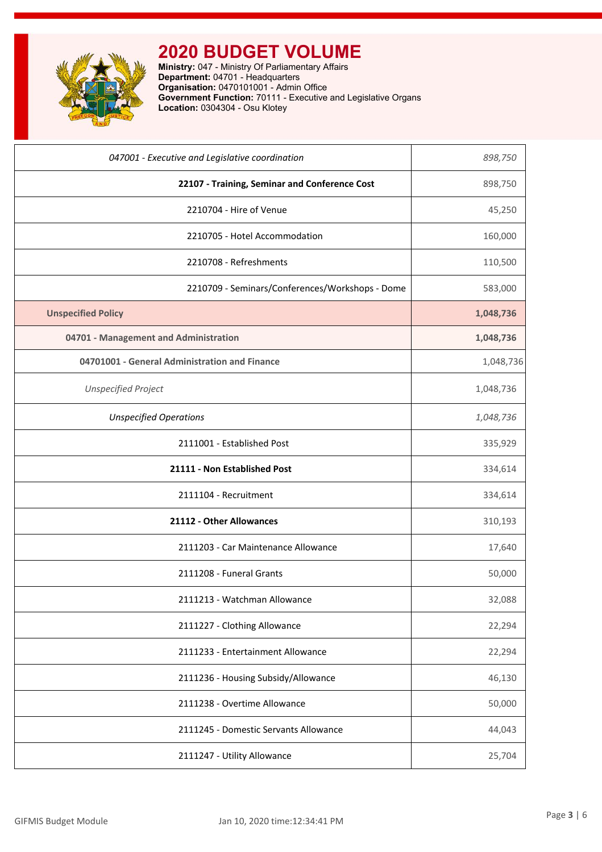

| 047001 - Executive and Legislative coordination | 898,750   |
|-------------------------------------------------|-----------|
| 22107 - Training, Seminar and Conference Cost   | 898,750   |
| 2210704 - Hire of Venue                         | 45,250    |
| 2210705 - Hotel Accommodation                   | 160,000   |
| 2210708 - Refreshments                          | 110,500   |
| 2210709 - Seminars/Conferences/Workshops - Dome | 583,000   |
| <b>Unspecified Policy</b>                       | 1,048,736 |
| 04701 - Management and Administration           | 1,048,736 |
| 04701001 - General Administration and Finance   | 1,048,736 |
| <b>Unspecified Project</b>                      | 1,048,736 |
| <b>Unspecified Operations</b>                   | 1,048,736 |
| 2111001 - Established Post                      | 335,929   |
| 21111 - Non Established Post                    | 334,614   |
| 2111104 - Recruitment                           | 334,614   |
| 21112 - Other Allowances                        | 310,193   |
| 2111203 - Car Maintenance Allowance             | 17,640    |
| 2111208 - Funeral Grants                        | 50,000    |
| 2111213 - Watchman Allowance                    | 32,088    |
| 2111227 - Clothing Allowance                    | 22,294    |
| 2111233 - Entertainment Allowance               | 22,294    |
| 2111236 - Housing Subsidy/Allowance             | 46,130    |
| 2111238 - Overtime Allowance                    | 50,000    |
| 2111245 - Domestic Servants Allowance           | 44,043    |
| 2111247 - Utility Allowance                     | 25,704    |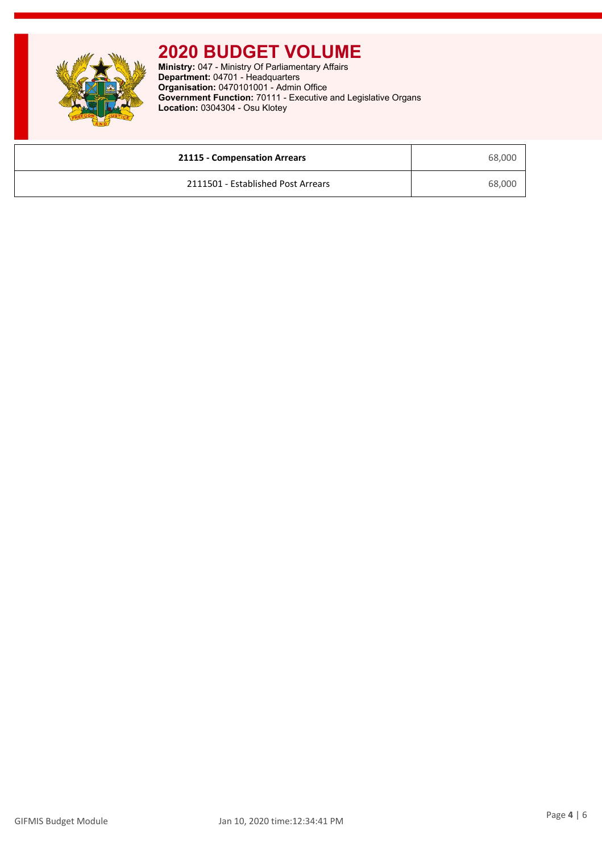

| 21115 - Compensation Arrears       | 68,000 |
|------------------------------------|--------|
| 2111501 - Established Post Arrears | 68,000 |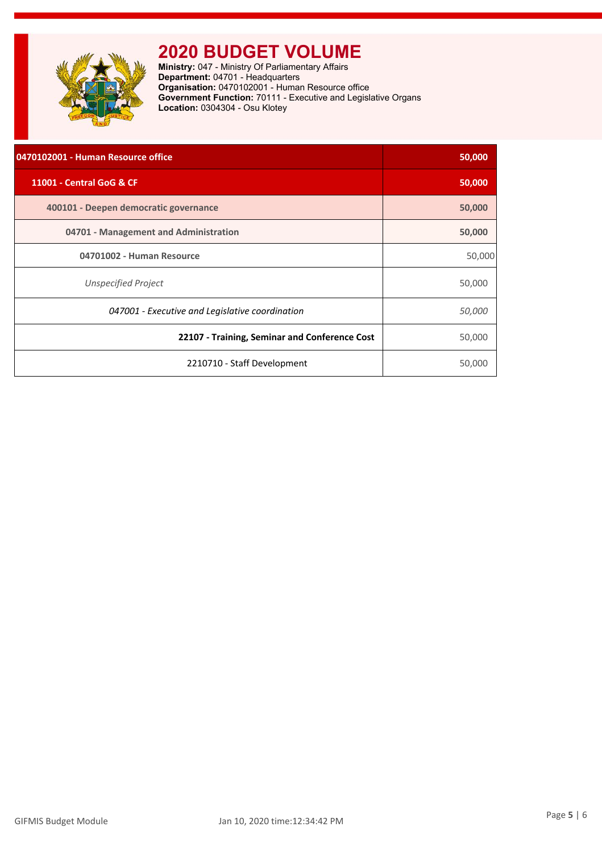<span id="page-5-0"></span>

| 0470102001 - Human Resource office              | 50,000        |
|-------------------------------------------------|---------------|
| 11001 - Central GoG & CF                        | 50,000        |
| 400101 - Deepen democratic governance           | 50,000        |
| 04701 - Management and Administration           | 50,000        |
| 04701002 - Human Resource                       | 50,000        |
| Unspecified Project                             | 50,000        |
| 047001 - Executive and Legislative coordination | <i>50,000</i> |
| 22107 - Training, Seminar and Conference Cost   | 50,000        |
| 2210710 - Staff Development                     | 50,000        |